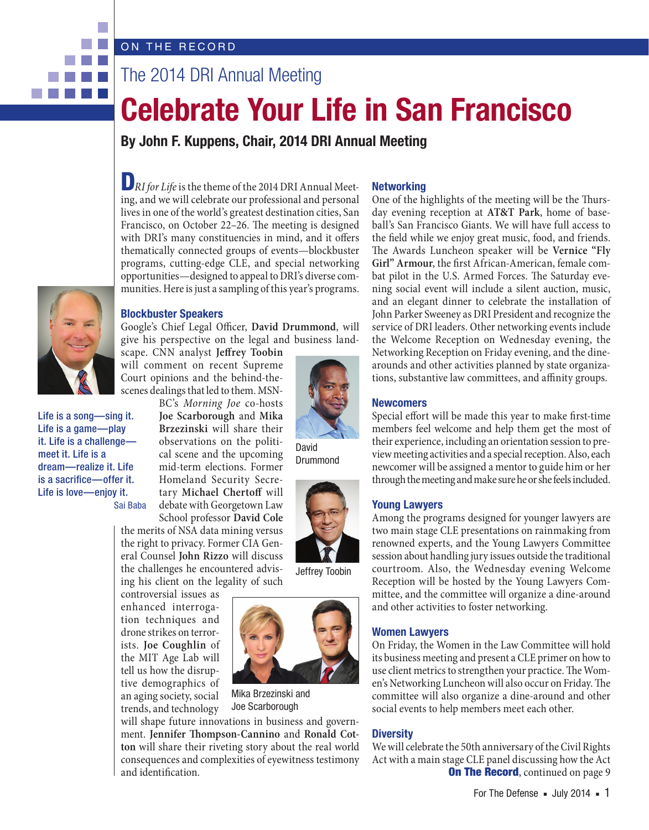# ON THE RECORD

# The 2014 DRI Annual Meeting

# **Celebrate Your Life in San Francisco**

**By John F. Kuppens, Chair, 2014 DRI Annual Meeting**



. . .

# D*RI for Life* is the theme of the 2014 DRI Annual Meeting, and we will celebrate our professional and personal lives in one of the world's greatest destination cities, San Francisco, on October 22–26. The meeting is designed with DRI's many constituencies in mind, and it offers thematically connected groups of events—blockbuster programs, cutting-edge CLE, and special networking opportunities—designed to appeal to DRI's diverse communities. Here is just a sampling of this year's programs.

#### **Blockbuster Speakers**

Google's Chief Legal Officer, **David Drummond**, will give his perspective on the legal and business land-

scape. CNN analyst **Jeffrey Toobin** will comment on recent Supreme Court opinions and the behind-thescenes dealings that led to them. MSN-

Life is a song—sing it. Life is a game—play it. Life is a challenge meet it. Life is a dream—realize it. Life is a sacrifice—offer it. Life is love—enjoy it.

Sai Baba

School professor **David Cole** the merits of NSA data mining versus the right to privacy. Former CIA General Counsel **John Rizzo** will discuss the challenges he encountered advis-

controversial issues as enhanced interrogation techniques and drone strikes on terrorists. **Joe Coughlin** of the MIT Age Lab will tell us how the disruptive demographics of an aging society, social trends, and technology

BC's *Morning Joe* co-hosts **Joe Scarborough** and **Mika Brzezinski** will share their observations on the political scene and the upcoming mid-term elections. Former Homeland Security Secretary **Michael Chertoff** will debate with Georgetown Law

ing his client on the legality of such

Mika Brzezinski and

will shape future innovations in business and government. **Jennifer Thompson-Cannino** and **Ronald Cotton** will share their riveting story about the real world consequences and complexities of eyewitness testimony and identification.

Joe Scarborough

# **Networking**

One of the highlights of the meeting will be the Thursday evening reception at **AT&T Park**, home of baseball's San Francisco Giants. We will have full access to the field while we enjoy great music, food, and friends. The Awards Luncheon speaker will be **Vernice "Fly Girl" Armour**, the first African-American, female combat pilot in the U.S. Armed Forces. The Saturday evening social event will include a silent auction, music, and an elegant dinner to celebrate the installation of John Parker Sweeney as DRI President and recognize the service of DRI leaders. Other networking events include the Welcome Reception on Wednesday evening, the Networking Reception on Friday evening, and the dinearounds and other activities planned by state organizations, substantive law committees, and affinity groups.

#### **Newcomers**

Special effort will be made this year to make first-time members feel welcome and help them get the most of their experience, including an orientation session to preview meeting activities and a special reception. Also, each newcomer will be assigned a mentor to guide him or her through the meeting and make sure he or she feels included.

#### **Young Lawyers**

Among the programs designed for younger lawyers are two main stage CLE presentations on rainmaking from renowned experts, and the Young Lawyers Committee session about handling jury issues outside the traditional courtroom. Also, the Wednesday evening Welcome Reception will be hosted by the Young Lawyers Committee, and the committee will organize a dine-around and other activities to foster networking.

#### **Women Lawyers**

On Friday, the Women in the Law Committee will hold its business meeting and present a CLE primer on how to use client metrics to strengthen your practice. The Women's Networking Luncheon will also occur on Friday. The committee will also organize a dine-around and other social events to help members meet each other.

#### **Diversity**

**On The Record, continued on page 9** We will celebrate the 50th anniversary of the Civil Rights Act with a main stage CLE panel discussing how the Act



Jeffrey Toobin

David **Drummond**